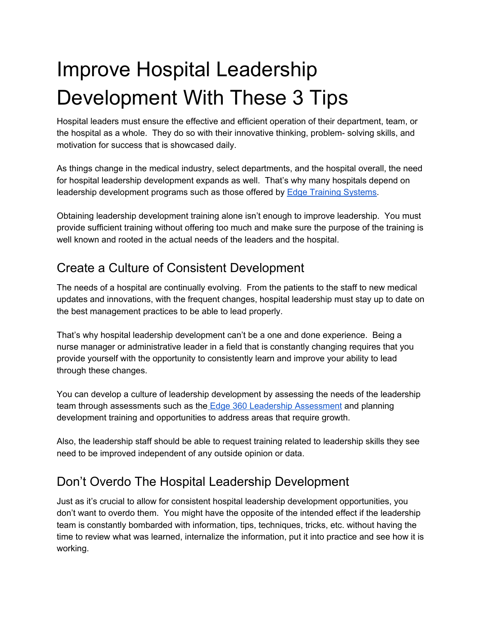# Improve Hospital Leadership Development With These 3 Tips

Hospital leaders must ensure the effective and efficient operation of their department, team, or the hospital as a whole. They do so with their innovative thinking, problem- solving skills, and motivation for success that is showcased daily.

As things change in the medical industry, select departments, and the hospital overall, the need for hospital leadership development expands as well. That's why many hospitals depend on leadership development programs such as those offered by Edge Training [Systems.](https://www.edgetrainingsystems.com/Edge-Products)

Obtaining leadership development training alone isn't enough to improve leadership. You must provide sufficient training without offering too much and make sure the purpose of the training is well known and rooted in the actual needs of the leaders and the hospital.

## Create a Culture of Consistent Development

The needs of a hospital are continually evolving. From the patients to the staff to new medical updates and innovations, with the frequent changes, hospital leadership must stay up to date on the best management practices to be able to lead properly.

That's why hospital leadership development can't be a one and done experience. Being a nurse manager or administrative leader in a field that is constantly changing requires that you provide yourself with the opportunity to consistently learn and improve your ability to lead through these changes.

You can develop a culture of leadership development by assessing the needs of the leadership team through assessments such as the Edge 360 Leadership [Assessment](https://www.edgetrainingsystems.com/Edge-Products/Assessments/360-Degree-Feedback-Assessments/EDGE360%C2%BA-For-Leaders) and planning development training and opportunities to address areas that require growth.

Also, the leadership staff should be able to request training related to leadership skills they see need to be improved independent of any outside opinion or data.

### Don't Overdo The Hospital Leadership Development

Just as it's crucial to allow for consistent hospital leadership development opportunities, you don't want to overdo them. You might have the opposite of the intended effect if the leadership team is constantly bombarded with information, tips, techniques, tricks, etc. without having the time to review what was learned, internalize the information, put it into practice and see how it is working.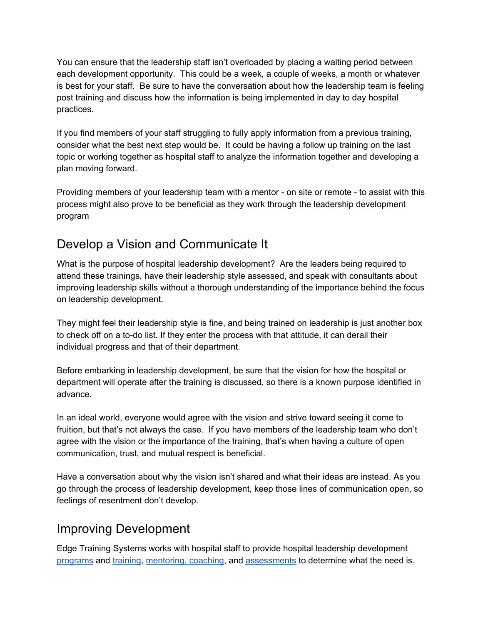You can ensure that the leadership staff isn't overloaded by placing a waiting period between each development opportunity. This could be a week, a couple of weeks, a month or whatever is best for your staff. Be sure to have the conversation about how the leadership team is feeling post training and discuss how the information is being implemented in day to day hospital practices.

If you find members of your staff struggling to fully apply information from a previous training, consider what the best next step would be. It could be having a follow up training on the last topic or working together as hospital staff to analyze the information together and developing a plan moving forward.

Providing members of your leadership team with a mentor - on site or remote - to assist with this process might also prove to be beneficial as they work through the leadership development program

### Develop a Vision and Communicate It

What is the purpose of hospital leadership development? Are the leaders being required to attend these trainings, have their leadership style assessed, and speak with consultants about improving leadership skills without a thorough understanding of the importance behind the focus on leadership development.

They might feel their leadership style is fine, and being trained on leadership is just another box to check off on a to-do list. If they enter the process with that attitude, it can derail their individual progress and that of their department.

Before embarking in leadership development, be sure that the vision for how the hospital or department will operate after the training is discussed, so there is a known purpose identified in advance.

In an ideal world, everyone would agree with the vision and strive toward seeing it come to fruition, but that's not always the case. If you have members of the leadership team who don't agree with the vision or the importance of the training, that's when having a culture of open communication, trust, and mutual respect is beneficial.

Have a conversation about why the vision isn't shared and what their ideas are instead. As you go through the process of leadership development, keep those lines of communication open, so feelings of resentment don't develop.

### Improving Development

Edge Training Systems works with hospital staff to provide hospital leadership development [programs](https://www.edgetrainingsystems.com/Training-Services/StepUp-Program) and [training,](https://www.edgetrainingsystems.com/Edge-Products/Training-Videos/Leadership) [mentoring,](https://www.edgetrainingsystems.com/Edge-Products/Coaching-Mentoring) coaching, and [assessments](https://www.edgetrainingsystems.com/Edge-Products/Assessments/360-Degree-Feedback-Assessments/EDGE360%C2%BA-For-Leaders) to determine what the need is.